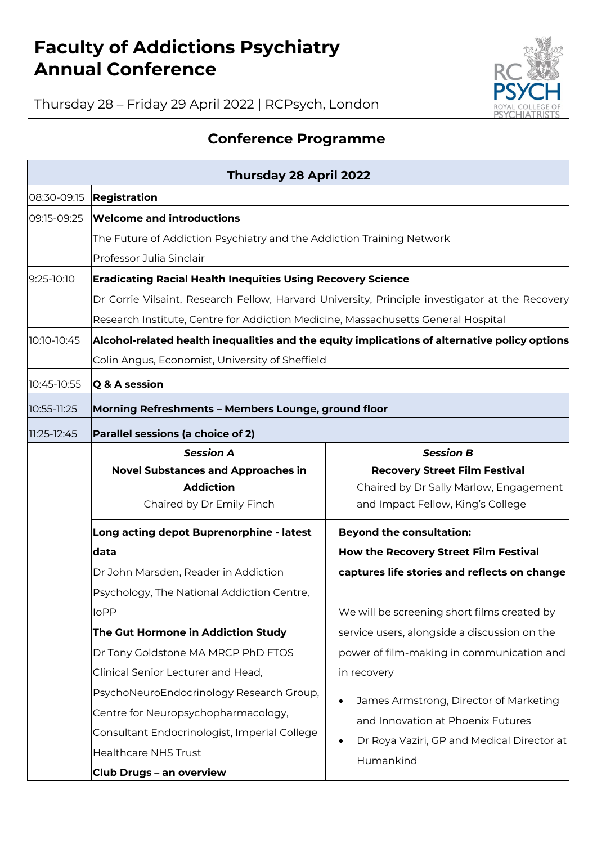## **Faculty of Addictions Psychiatry Annual Conference**



Thursday 28 – Friday 29 April 2022 | RCPsych, London

## **Conference Programme**

| <b>Thursday 28 April 2022</b> |                                                                                                 |                                                         |  |  |  |
|-------------------------------|-------------------------------------------------------------------------------------------------|---------------------------------------------------------|--|--|--|
| 08:30-09:15                   | Registration                                                                                    |                                                         |  |  |  |
| 09:15-09:25                   | <b>Welcome and introductions</b>                                                                |                                                         |  |  |  |
|                               | The Future of Addiction Psychiatry and the Addiction Training Network                           |                                                         |  |  |  |
|                               | Professor Julia Sinclair                                                                        |                                                         |  |  |  |
| 9:25-10:10                    | <b>Eradicating Racial Health Inequities Using Recovery Science</b>                              |                                                         |  |  |  |
|                               | Dr Corrie Vilsaint, Research Fellow, Harvard University, Principle investigator at the Recovery |                                                         |  |  |  |
|                               | Research Institute, Centre for Addiction Medicine, Massachusetts General Hospital               |                                                         |  |  |  |
| 10:10-10:45                   | Alcohol-related health inequalities and the equity implications of alternative policy options   |                                                         |  |  |  |
|                               | Colin Angus, Economist, University of Sheffield                                                 |                                                         |  |  |  |
| 10:45-10:55                   | Q & A session                                                                                   |                                                         |  |  |  |
| 10:55-11:25                   | Morning Refreshments - Members Lounge, ground floor                                             |                                                         |  |  |  |
| 11:25-12:45                   | Parallel sessions (a choice of 2)                                                               |                                                         |  |  |  |
|                               | <b>Session A</b>                                                                                | <b>Session B</b>                                        |  |  |  |
|                               | <b>Novel Substances and Approaches in</b>                                                       | <b>Recovery Street Film Festival</b>                    |  |  |  |
|                               | <b>Addiction</b>                                                                                | Chaired by Dr Sally Marlow, Engagement                  |  |  |  |
|                               | Chaired by Dr Emily Finch                                                                       | and Impact Fellow, King's College                       |  |  |  |
|                               | Long acting depot Buprenorphine - latest                                                        | <b>Beyond the consultation:</b>                         |  |  |  |
|                               | data                                                                                            | How the Recovery Street Film Festival                   |  |  |  |
|                               | Dr John Marsden, Reader in Addiction                                                            | captures life stories and reflects on change            |  |  |  |
|                               | Psychology, The National Addiction Centre,                                                      |                                                         |  |  |  |
|                               | <b>IoPP</b>                                                                                     | We will be screening short films created by             |  |  |  |
|                               | The Gut Hormone in Addiction Study                                                              | service users, alongside a discussion on the            |  |  |  |
|                               | Dr Tony Goldstone MA MRCP PhD FTOS                                                              | power of film-making in communication and               |  |  |  |
|                               | Clinical Senior Lecturer and Head,                                                              | in recovery                                             |  |  |  |
|                               | PsychoNeuroEndocrinology Research Group,                                                        | James Armstrong, Director of Marketing                  |  |  |  |
|                               | Centre for Neuropsychopharmacology,                                                             | and Innovation at Phoenix Futures                       |  |  |  |
|                               | Consultant Endocrinologist, Imperial College                                                    | Dr Roya Vaziri, GP and Medical Director at<br>Humankind |  |  |  |
|                               | <b>Healthcare NHS Trust</b>                                                                     |                                                         |  |  |  |
|                               | <b>Club Drugs - an overview</b>                                                                 |                                                         |  |  |  |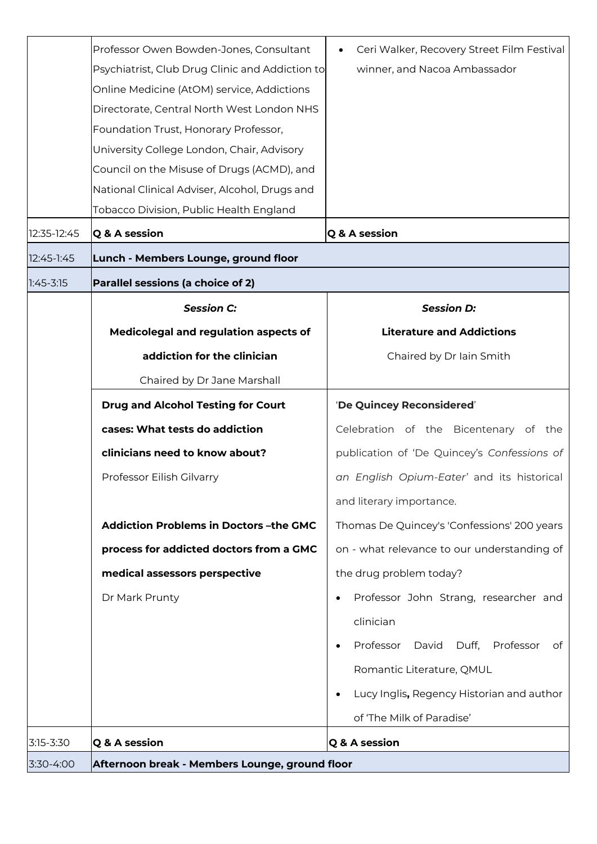|               | Professor Owen Bowden-Jones, Consultant         | Ceri Walker, Recovery Street Film Festival             |  |  |  |
|---------------|-------------------------------------------------|--------------------------------------------------------|--|--|--|
|               | Psychiatrist, Club Drug Clinic and Addiction to | winner, and Nacoa Ambassador                           |  |  |  |
|               | Online Medicine (AtOM) service, Addictions      |                                                        |  |  |  |
|               | Directorate, Central North West London NHS      |                                                        |  |  |  |
|               | Foundation Trust, Honorary Professor,           |                                                        |  |  |  |
|               | University College London, Chair, Advisory      |                                                        |  |  |  |
|               | Council on the Misuse of Drugs (ACMD), and      |                                                        |  |  |  |
|               | National Clinical Adviser, Alcohol, Drugs and   |                                                        |  |  |  |
|               | Tobacco Division, Public Health England         |                                                        |  |  |  |
| 12:35-12:45   | Q & A session                                   | Q & A session                                          |  |  |  |
| 12:45-1:45    | Lunch - Members Lounge, ground floor            |                                                        |  |  |  |
| $1:45 - 3:15$ | Parallel sessions (a choice of 2)               |                                                        |  |  |  |
|               | <b>Session C:</b>                               | <b>Session D:</b>                                      |  |  |  |
|               | Medicolegal and regulation aspects of           | <b>Literature and Addictions</b>                       |  |  |  |
|               | addiction for the clinician                     | Chaired by Dr Iain Smith                               |  |  |  |
|               | Chaired by Dr Jane Marshall                     |                                                        |  |  |  |
|               | <b>Drug and Alcohol Testing for Court</b>       | 'De Quincey Reconsidered'                              |  |  |  |
|               | cases: What tests do addiction                  | Celebration of the Bicentenary of the                  |  |  |  |
|               | clinicians need to know about?                  | publication of 'De Quincey's Confessions of            |  |  |  |
|               | Professor Eilish Gilvarry                       | an English Opium-Eater' and its historical             |  |  |  |
|               |                                                 | and literary importance.                               |  |  |  |
|               | <b>Addiction Problems in Doctors-the GMC</b>    | Thomas De Quincey's 'Confessions' 200 years            |  |  |  |
|               | process for addicted doctors from a GMC         | on - what relevance to our understanding of            |  |  |  |
|               | medical assessors perspective                   | the drug problem today?                                |  |  |  |
|               | Dr Mark Prunty                                  | Professor John Strang, researcher and                  |  |  |  |
|               |                                                 | clinician                                              |  |  |  |
|               |                                                 | David<br>Duff,<br>Professor<br>Professor<br>of         |  |  |  |
|               |                                                 | Romantic Literature, QMUL                              |  |  |  |
|               |                                                 | Lucy Inglis, Regency Historian and author<br>$\bullet$ |  |  |  |
|               |                                                 | of 'The Milk of Paradise'                              |  |  |  |
| $3:15 - 3:30$ | Q & A session                                   | Q & A session                                          |  |  |  |
| 3:30-4:00     | Afternoon break - Members Lounge, ground floor  |                                                        |  |  |  |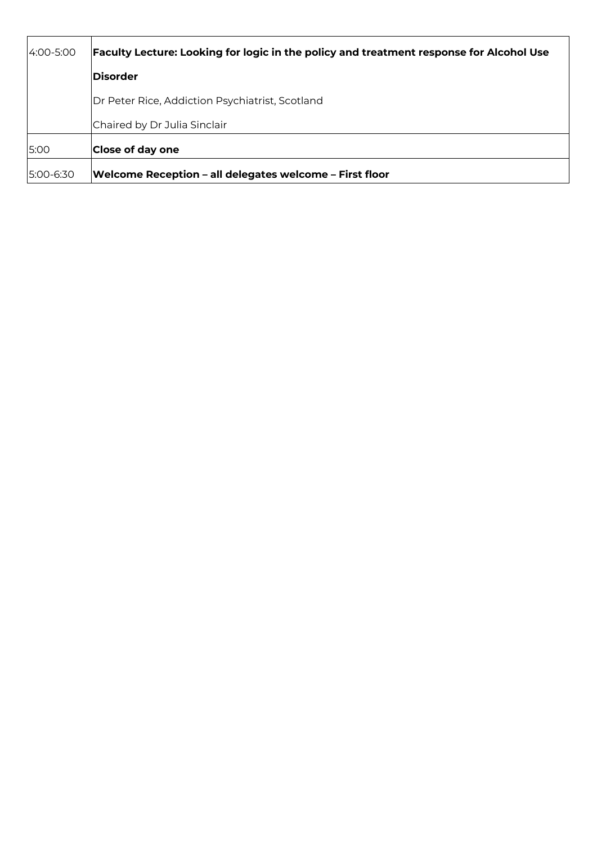| 4:00-5:00 | <b>Faculty Lecture: Looking for logic in the policy and treatment response for Alcohol Use</b> |  |  |  |
|-----------|------------------------------------------------------------------------------------------------|--|--|--|
|           | <b>Disorder</b>                                                                                |  |  |  |
|           | Dr Peter Rice, Addiction Psychiatrist, Scotland                                                |  |  |  |
|           | Chaired by Dr Julia Sinclair                                                                   |  |  |  |
| 5:00      | Close of day one                                                                               |  |  |  |
| 5:00-6:30 | Welcome Reception - all delegates welcome - First floor                                        |  |  |  |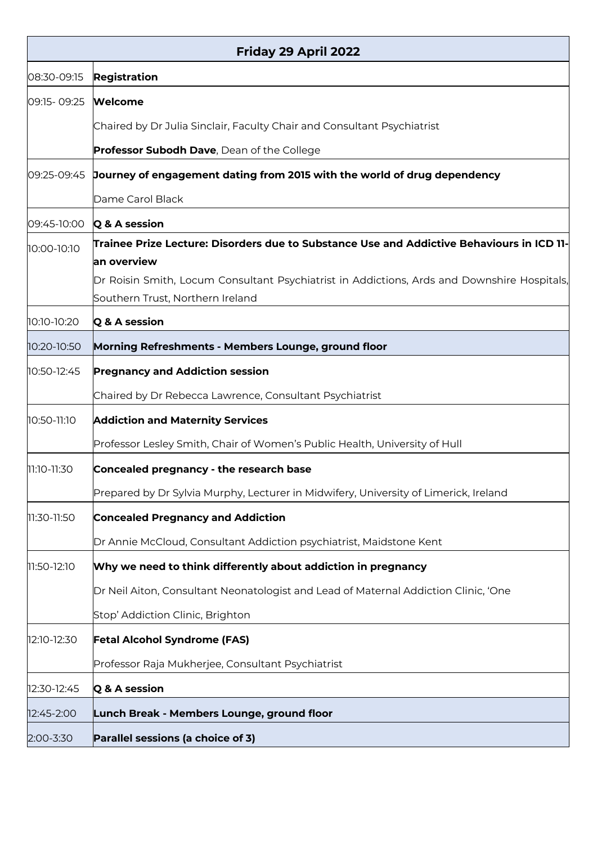| Friday 29 April 2022 |                                                                                             |  |  |  |
|----------------------|---------------------------------------------------------------------------------------------|--|--|--|
| 08:30-09:15          | <b>Registration</b>                                                                         |  |  |  |
| 09:15-09:25          | Welcome                                                                                     |  |  |  |
|                      | Chaired by Dr Julia Sinclair, Faculty Chair and Consultant Psychiatrist                     |  |  |  |
|                      | Professor Subodh Dave, Dean of the College                                                  |  |  |  |
| 09:25-09:45          | Journey of engagement dating from 2015 with the world of drug dependency                    |  |  |  |
|                      | Dame Carol Black                                                                            |  |  |  |
| 09:45-10:00          | Q & A session                                                                               |  |  |  |
| 10:00-10:10          | Trainee Prize Lecture: Disorders due to Substance Use and Addictive Behaviours in ICD 11-   |  |  |  |
|                      | an overview                                                                                 |  |  |  |
|                      | Dr Roisin Smith, Locum Consultant Psychiatrist in Addictions, Ards and Downshire Hospitals, |  |  |  |
|                      | Southern Trust, Northern Ireland                                                            |  |  |  |
| 10:10-10:20          | Q & A session                                                                               |  |  |  |
| 10:20-10:50          | Morning Refreshments - Members Lounge, ground floor                                         |  |  |  |
| 10:50-12:45          | <b>Pregnancy and Addiction session</b>                                                      |  |  |  |
|                      | Chaired by Dr Rebecca Lawrence, Consultant Psychiatrist                                     |  |  |  |
| 10:50-11:10          | <b>Addiction and Maternity Services</b>                                                     |  |  |  |
|                      | Professor Lesley Smith, Chair of Women's Public Health, University of Hull                  |  |  |  |
| 11:10-11:30          | Concealed pregnancy - the research base                                                     |  |  |  |
|                      | Prepared by Dr Sylvia Murphy, Lecturer in Midwifery, University of Limerick, Ireland        |  |  |  |
| 11:30-11:50          | <b>Concealed Pregnancy and Addiction</b>                                                    |  |  |  |
|                      | Dr Annie McCloud, Consultant Addiction psychiatrist, Maidstone Kent                         |  |  |  |
| 11:50-12:10          | Why we need to think differently about addiction in pregnancy                               |  |  |  |
|                      | Dr Neil Aiton, Consultant Neonatologist and Lead of Maternal Addiction Clinic, 'One         |  |  |  |
|                      | Stop' Addiction Clinic, Brighton                                                            |  |  |  |
| 12:10-12:30          | <b>Fetal Alcohol Syndrome (FAS)</b>                                                         |  |  |  |
|                      | Professor Raja Mukherjee, Consultant Psychiatrist                                           |  |  |  |
| 12:30-12:45          | Q & A session                                                                               |  |  |  |
| 12:45-2:00           | Lunch Break - Members Lounge, ground floor                                                  |  |  |  |
| 2:00-3:30            | Parallel sessions (a choice of 3)                                                           |  |  |  |